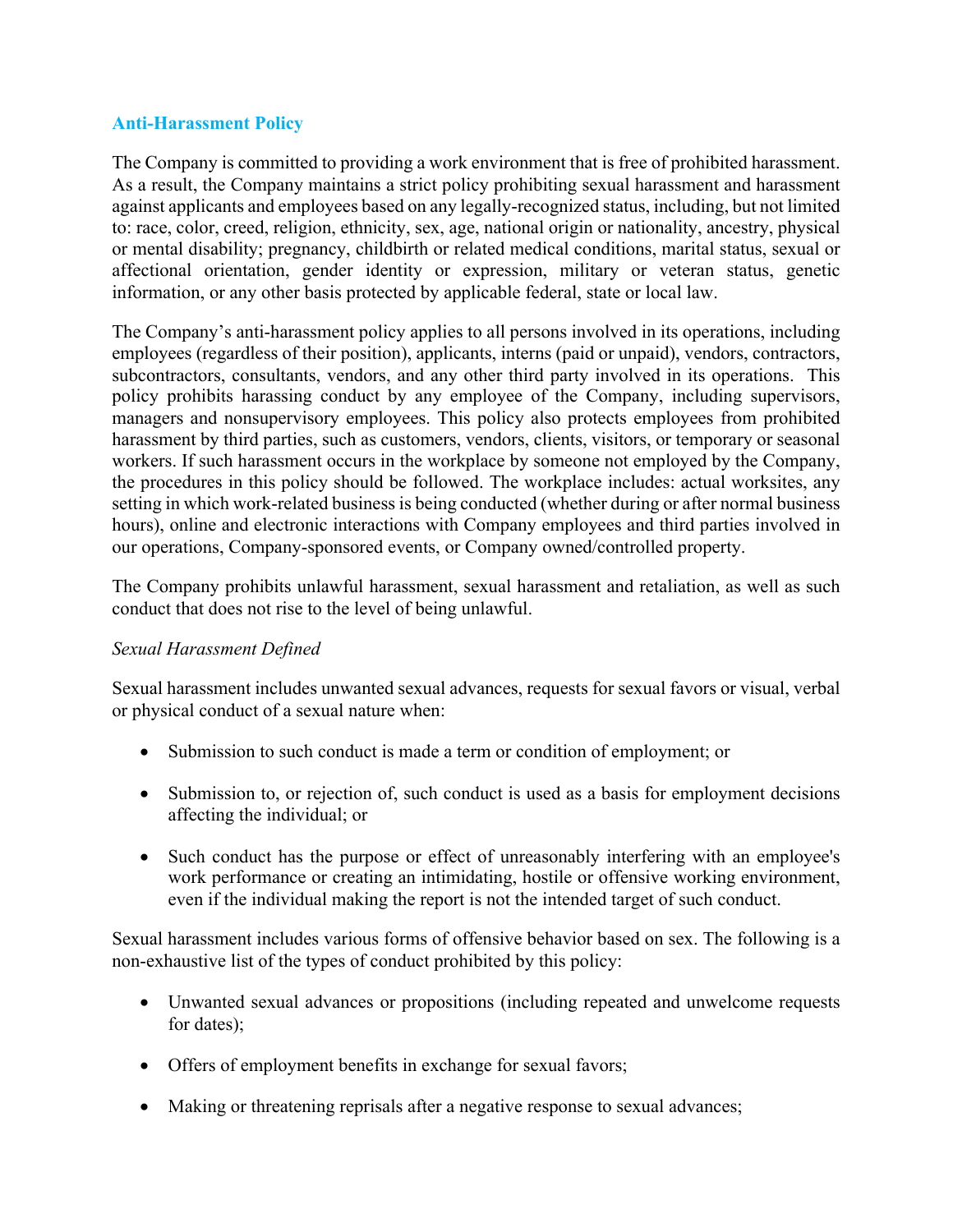# **Anti-Harassment Policy**

The Company is committed to providing a work environment that is free of prohibited harassment. As a result, the Company maintains a strict policy prohibiting sexual harassment and harassment against applicants and employees based on any legally-recognized status, including, but not limited to: race, color, creed, religion, ethnicity, sex, age, national origin or nationality, ancestry, physical or mental disability; pregnancy, childbirth or related medical conditions, marital status, sexual or affectional orientation, gender identity or expression, military or veteran status, genetic information, or any other basis protected by applicable federal, state or local law.

The Company's anti-harassment policy applies to all persons involved in its operations, including employees (regardless of their position), applicants, interns (paid or unpaid), vendors, contractors, subcontractors, consultants, vendors, and any other third party involved in its operations. This policy prohibits harassing conduct by any employee of the Company, including supervisors, managers and nonsupervisory employees. This policy also protects employees from prohibited harassment by third parties, such as customers, vendors, clients, visitors, or temporary or seasonal workers. If such harassment occurs in the workplace by someone not employed by the Company, the procedures in this policy should be followed. The workplace includes: actual worksites, any setting in which work-related business is being conducted (whether during or after normal business hours), online and electronic interactions with Company employees and third parties involved in our operations, Company-sponsored events, or Company owned/controlled property.

The Company prohibits unlawful harassment, sexual harassment and retaliation, as well as such conduct that does not rise to the level of being unlawful.

# *Sexual Harassment Defined*

Sexual harassment includes unwanted sexual advances, requests for sexual favors or visual, verbal or physical conduct of a sexual nature when:

- Submission to such conduct is made a term or condition of employment; or
- Submission to, or rejection of, such conduct is used as a basis for employment decisions affecting the individual; or
- Such conduct has the purpose or effect of unreasonably interfering with an employee's work performance or creating an intimidating, hostile or offensive working environment, even if the individual making the report is not the intended target of such conduct.

Sexual harassment includes various forms of offensive behavior based on sex. The following is a non-exhaustive list of the types of conduct prohibited by this policy:

- Unwanted sexual advances or propositions (including repeated and unwelcome requests for dates);
- Offers of employment benefits in exchange for sexual favors;
- Making or threatening reprisals after a negative response to sexual advances;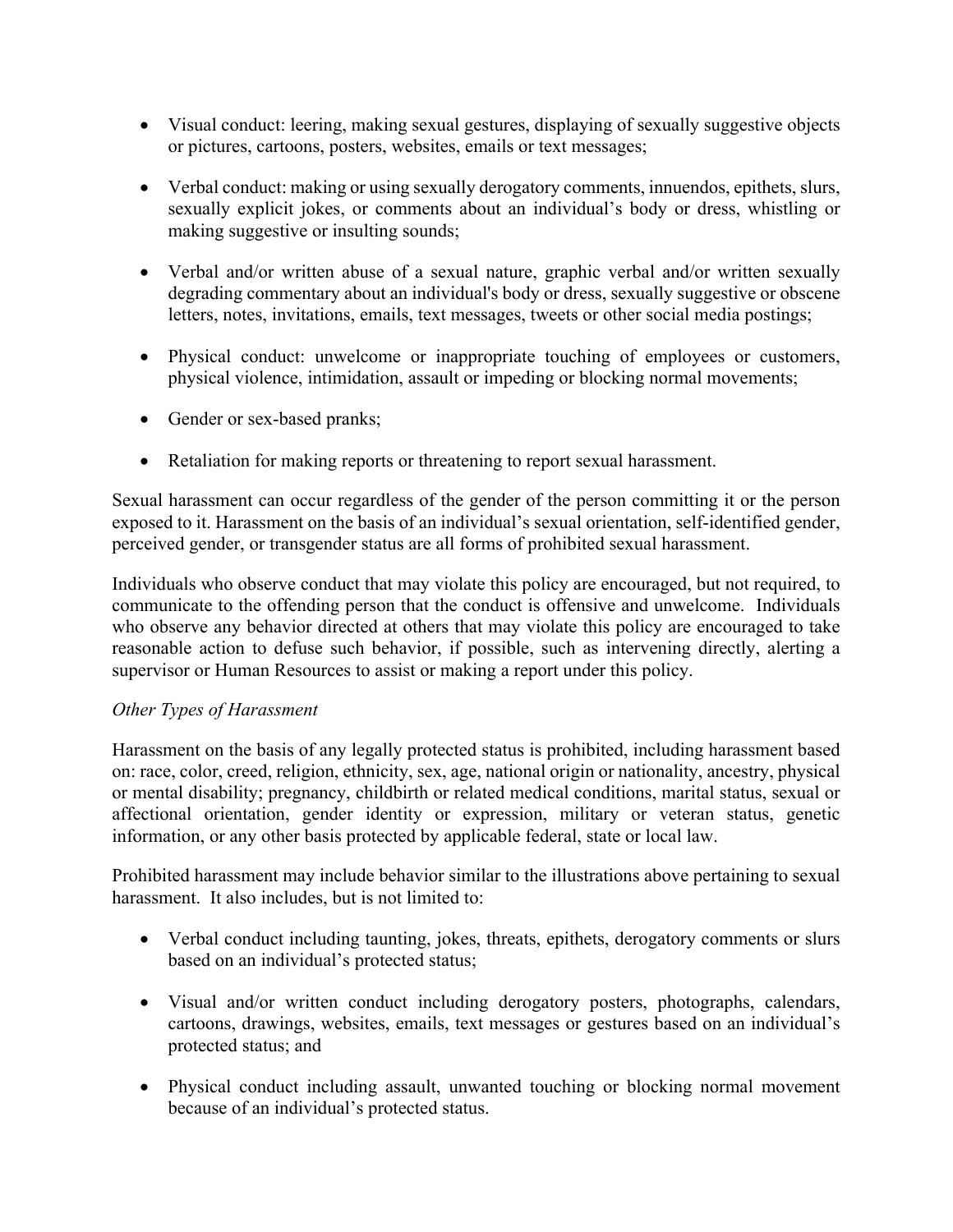- Visual conduct: leering, making sexual gestures, displaying of sexually suggestive objects or pictures, cartoons, posters, websites, emails or text messages;
- Verbal conduct: making or using sexually derogatory comments, innuendos, epithets, slurs, sexually explicit jokes, or comments about an individual's body or dress, whistling or making suggestive or insulting sounds;
- Verbal and/or written abuse of a sexual nature, graphic verbal and/or written sexually degrading commentary about an individual's body or dress, sexually suggestive or obscene letters, notes, invitations, emails, text messages, tweets or other social media postings;
- Physical conduct: unwelcome or inappropriate touching of employees or customers, physical violence, intimidation, assault or impeding or blocking normal movements;
- Gender or sex-based pranks;
- Retaliation for making reports or threatening to report sexual harassment.

Sexual harassment can occur regardless of the gender of the person committing it or the person exposed to it. Harassment on the basis of an individual's sexual orientation, self-identified gender, perceived gender, or transgender status are all forms of prohibited sexual harassment.

Individuals who observe conduct that may violate this policy are encouraged, but not required, to communicate to the offending person that the conduct is offensive and unwelcome. Individuals who observe any behavior directed at others that may violate this policy are encouraged to take reasonable action to defuse such behavior, if possible, such as intervening directly, alerting a supervisor or Human Resources to assist or making a report under this policy.

# *Other Types of Harassment*

Harassment on the basis of any legally protected status is prohibited, including harassment based on: race, color, creed, religion, ethnicity, sex, age, national origin or nationality, ancestry, physical or mental disability; pregnancy, childbirth or related medical conditions, marital status, sexual or affectional orientation, gender identity or expression, military or veteran status, genetic information, or any other basis protected by applicable federal, state or local law.

Prohibited harassment may include behavior similar to the illustrations above pertaining to sexual harassment. It also includes, but is not limited to:

- Verbal conduct including taunting, jokes, threats, epithets, derogatory comments or slurs based on an individual's protected status;
- Visual and/or written conduct including derogatory posters, photographs, calendars, cartoons, drawings, websites, emails, text messages or gestures based on an individual's protected status; and
- Physical conduct including assault, unwanted touching or blocking normal movement because of an individual's protected status.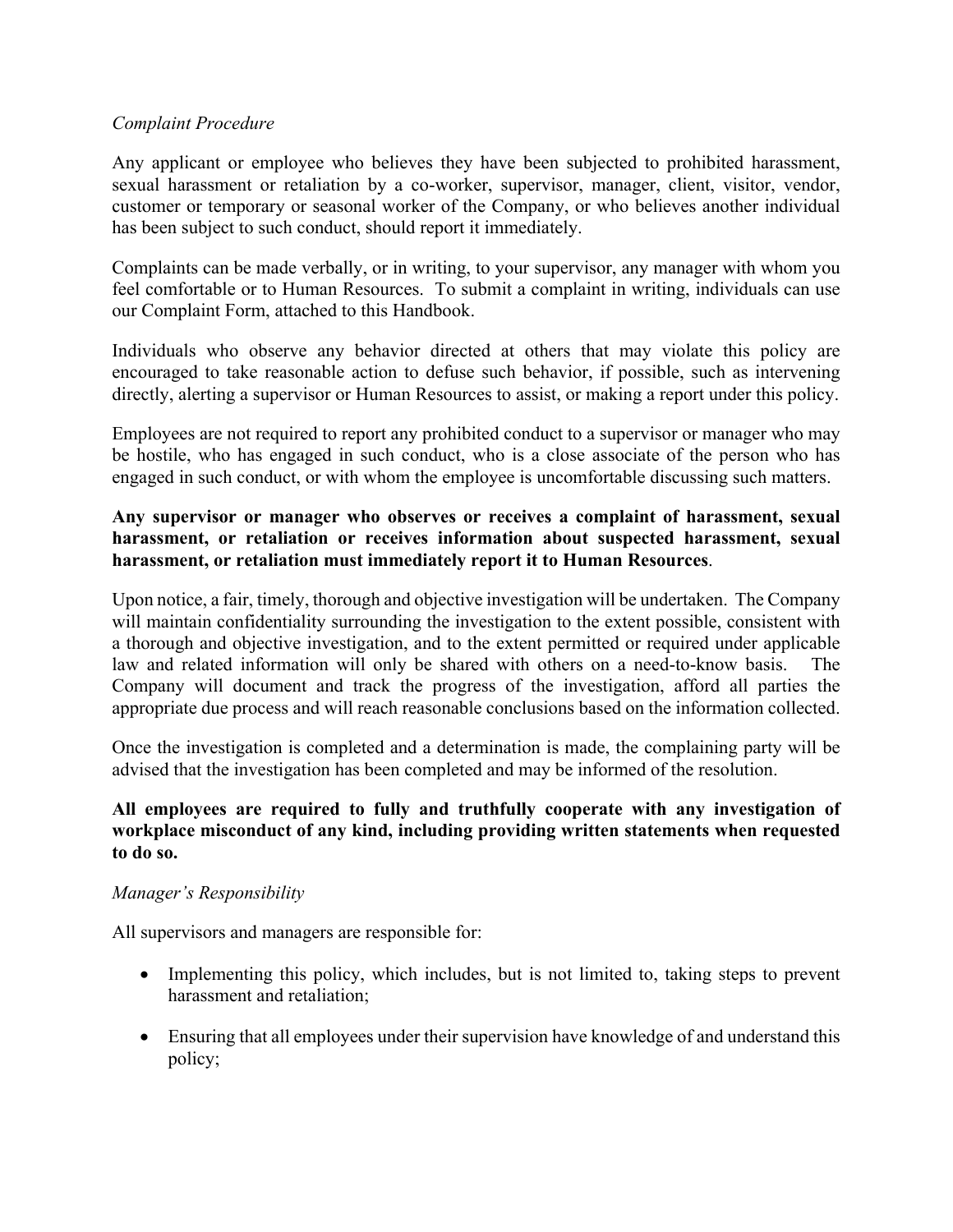### *Complaint Procedure*

Any applicant or employee who believes they have been subjected to prohibited harassment, sexual harassment or retaliation by a co-worker, supervisor, manager, client, visitor, vendor, customer or temporary or seasonal worker of the Company, or who believes another individual has been subject to such conduct, should report it immediately.

Complaints can be made verbally, or in writing, to your supervisor, any manager with whom you feel comfortable or to Human Resources. To submit a complaint in writing, individuals can use our Complaint Form, attached to this Handbook.

Individuals who observe any behavior directed at others that may violate this policy are encouraged to take reasonable action to defuse such behavior, if possible, such as intervening directly, alerting a supervisor or Human Resources to assist, or making a report under this policy.

Employees are not required to report any prohibited conduct to a supervisor or manager who may be hostile, who has engaged in such conduct, who is a close associate of the person who has engaged in such conduct, or with whom the employee is uncomfortable discussing such matters.

### **Any supervisor or manager who observes or receives a complaint of harassment, sexual harassment, or retaliation or receives information about suspected harassment, sexual harassment, or retaliation must immediately report it to Human Resources**.

Upon notice, a fair, timely, thorough and objective investigation will be undertaken. The Company will maintain confidentiality surrounding the investigation to the extent possible, consistent with a thorough and objective investigation, and to the extent permitted or required under applicable law and related information will only be shared with others on a need-to-know basis. The Company will document and track the progress of the investigation, afford all parties the appropriate due process and will reach reasonable conclusions based on the information collected.

Once the investigation is completed and a determination is made, the complaining party will be advised that the investigation has been completed and may be informed of the resolution.

### **All employees are required to fully and truthfully cooperate with any investigation of workplace misconduct of any kind, including providing written statements when requested to do so.**

#### *Manager's Responsibility*

All supervisors and managers are responsible for:

- Implementing this policy, which includes, but is not limited to, taking steps to prevent harassment and retaliation;
- Ensuring that all employees under their supervision have knowledge of and understand this policy;